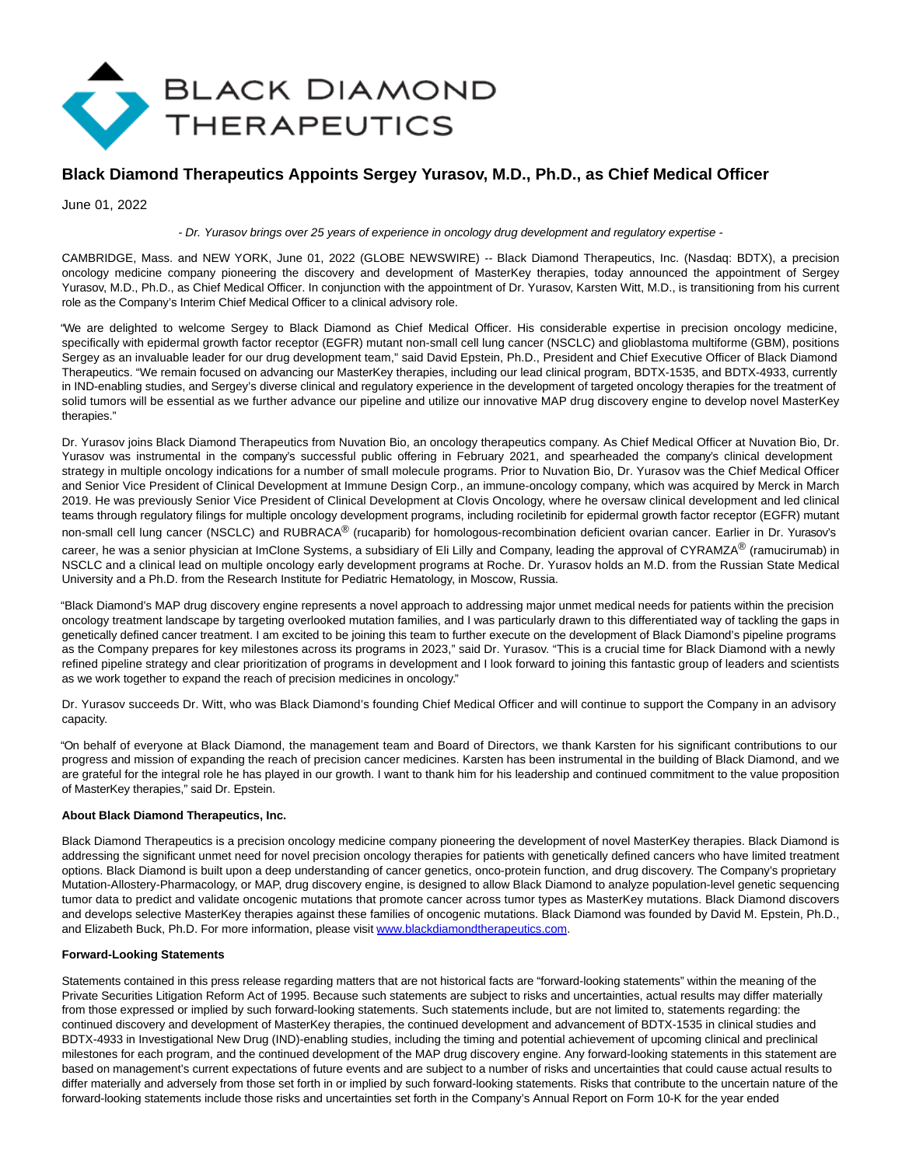

# **Black Diamond Therapeutics Appoints Sergey Yurasov, M.D., Ph.D., as Chief Medical Officer**

June 01, 2022

#### - Dr. Yurasov brings over 25 years of experience in oncology drug development and regulatory expertise -

CAMBRIDGE, Mass. and NEW YORK, June 01, 2022 (GLOBE NEWSWIRE) -- Black Diamond Therapeutics, Inc. (Nasdaq: BDTX), a precision oncology medicine company pioneering the discovery and development of MasterKey therapies, today announced the appointment of Sergey Yurasov, M.D., Ph.D., as Chief Medical Officer. In conjunction with the appointment of Dr. Yurasov, Karsten Witt, M.D., is transitioning from his current role as the Company's Interim Chief Medical Officer to a clinical advisory role.

"We are delighted to welcome Sergey to Black Diamond as Chief Medical Officer. His considerable expertise in precision oncology medicine, specifically with epidermal growth factor receptor (EGFR) mutant non-small cell lung cancer (NSCLC) and glioblastoma multiforme (GBM), positions Sergey as an invaluable leader for our drug development team," said David Epstein, Ph.D., President and Chief Executive Officer of Black Diamond Therapeutics. "We remain focused on advancing our MasterKey therapies, including our lead clinical program, BDTX-1535, and BDTX-4933, currently in IND-enabling studies, and Sergey's diverse clinical and regulatory experience in the development of targeted oncology therapies for the treatment of solid tumors will be essential as we further advance our pipeline and utilize our innovative MAP drug discovery engine to develop novel MasterKey therapies."

Dr. Yurasov joins Black Diamond Therapeutics from Nuvation Bio, an oncology therapeutics company. As Chief Medical Officer at Nuvation Bio, Dr. Yurasov was instrumental in the company's successful public offering in February 2021, and spearheaded the company's clinical development strategy in multiple oncology indications for a number of small molecule programs. Prior to Nuvation Bio, Dr. Yurasov was the Chief Medical Officer and Senior Vice President of Clinical Development at Immune Design Corp., an immune-oncology company, which was acquired by Merck in March 2019. He was previously Senior Vice President of Clinical Development at Clovis Oncology, where he oversaw clinical development and led clinical teams through regulatory filings for multiple oncology development programs, including rociletinib for epidermal growth factor receptor (EGFR) mutant non-small cell lung cancer (NSCLC) and RUBRACA® (rucaparib) for homologous-recombination deficient ovarian cancer. Earlier in Dr. Yurasov's career, he was a senior physician at ImClone Systems, a subsidiary of Eli Lilly and Company, leading the approval of CYRAMZA® (ramucirumab) in NSCLC and a clinical lead on multiple oncology early development programs at Roche. Dr. Yurasov holds an M.D. from the Russian State Medical University and a Ph.D. from the Research Institute for Pediatric Hematology, in Moscow, Russia.

"Black Diamond's MAP drug discovery engine represents a novel approach to addressing major unmet medical needs for patients within the precision oncology treatment landscape by targeting overlooked mutation families, and I was particularly drawn to this differentiated way of tackling the gaps in genetically defined cancer treatment. I am excited to be joining this team to further execute on the development of Black Diamond's pipeline programs as the Company prepares for key milestones across its programs in 2023," said Dr. Yurasov. "This is a crucial time for Black Diamond with a newly refined pipeline strategy and clear prioritization of programs in development and I look forward to joining this fantastic group of leaders and scientists as we work together to expand the reach of precision medicines in oncology."

Dr. Yurasov succeeds Dr. Witt, who was Black Diamond's founding Chief Medical Officer and will continue to support the Company in an advisory capacity.

"On behalf of everyone at Black Diamond, the management team and Board of Directors, we thank Karsten for his significant contributions to our progress and mission of expanding the reach of precision cancer medicines. Karsten has been instrumental in the building of Black Diamond, and we are grateful for the integral role he has played in our growth. I want to thank him for his leadership and continued commitment to the value proposition of MasterKey therapies," said Dr. Epstein.

#### **About Black Diamond Therapeutics, Inc.**

Black Diamond Therapeutics is a precision oncology medicine company pioneering the development of novel MasterKey therapies. Black Diamond is addressing the significant unmet need for novel precision oncology therapies for patients with genetically defined cancers who have limited treatment options. Black Diamond is built upon a deep understanding of cancer genetics, onco-protein function, and drug discovery. The Company's proprietary Mutation-Allostery-Pharmacology, or MAP, drug discovery engine, is designed to allow Black Diamond to analyze population-level genetic sequencing tumor data to predict and validate oncogenic mutations that promote cancer across tumor types as MasterKey mutations. Black Diamond discovers and develops selective MasterKey therapies against these families of oncogenic mutations. Black Diamond was founded by David M. Epstein, Ph.D., and Elizabeth Buck, Ph.D. For more information, please visit [www.blackdiamondtherapeutics.com.](https://www.globenewswire.com/Tracker?data=9YjVBPrP52KHppUS7SqUfCkJqsGcKik8BcEyLkyD-OXAPv9MyGXerpxss8F7bHBfX7poujAyKcTDN461jJT9Mk4LWRfAdc-EllQHYCRHaXuiZxeDeGmvRIyn0iCFu4-x)

#### **Forward-Looking Statements**

Statements contained in this press release regarding matters that are not historical facts are "forward-looking statements" within the meaning of the Private Securities Litigation Reform Act of 1995. Because such statements are subject to risks and uncertainties, actual results may differ materially from those expressed or implied by such forward-looking statements. Such statements include, but are not limited to, statements regarding: the continued discovery and development of MasterKey therapies, the continued development and advancement of BDTX-1535 in clinical studies and BDTX-4933 in Investigational New Drug (IND)-enabling studies, including the timing and potential achievement of upcoming clinical and preclinical milestones for each program, and the continued development of the MAP drug discovery engine. Any forward-looking statements in this statement are based on management's current expectations of future events and are subject to a number of risks and uncertainties that could cause actual results to differ materially and adversely from those set forth in or implied by such forward-looking statements. Risks that contribute to the uncertain nature of the forward-looking statements include those risks and uncertainties set forth in the Company's Annual Report on Form 10-K for the year ended